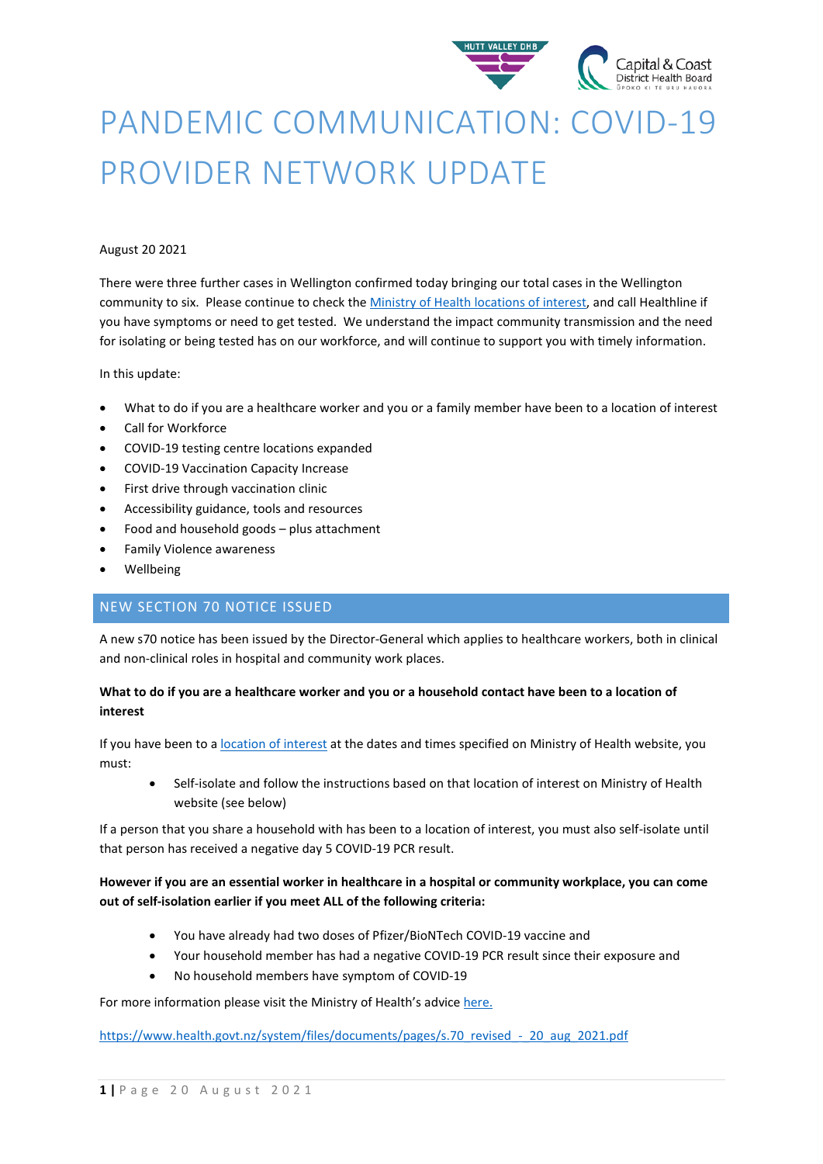

# PANDEMIC COMMUNICATION: COVID-19 PROVIDER NETWORK UPDATE

### August 20 2021

There were three further cases in Wellington confirmed today bringing our total cases in the Wellington community to six. Please continue to check th[e Ministry of Health locations of interest,](https://www.health.govt.nz/our-work/diseases-and-conditions/covid-19-novel-coronavirus/covid-19-health-advice-public/contact-tracing-covid-19/covid-19-contact-tracing-locations-interest) and call Healthline if you have symptoms or need to get tested. We understand the impact community transmission and the need for isolating or being tested has on our workforce, and will continue to support you with timely information.

### In this update:

- What to do if you are a healthcare worker and you or a family member have been to a location of interest
- Call for Workforce
- COVID-19 testing centre locations expanded
- COVID-19 Vaccination Capacity Increase
- First drive through vaccination clinic
- Accessibility guidance, tools and resources
- Food and household goods plus attachment
- Family Violence awareness
- **Wellbeing**

# NEW SECTION 70 NOTICE ISSUED

A new s70 notice has been issued by the Director-General which applies to healthcare workers, both in clinical and non-clinical roles in hospital and community work places.

# **What to do if you are a healthcare worker and you or a household contact have been to a location of interest**

If you have been to [a location of interest](https://www.health.govt.nz/our-work/diseases-and-conditions/covid-19-novel-coronavirus/covid-19-health-advice-public/contact-tracing-covid-19/covid-19-contact-tracing-locations-interest) at the dates and times specified on Ministry of Health website, you must:

• Self-isolate and follow the instructions based on that location of interest on Ministry of Health website (see below)

If a person that you share a household with has been to a location of interest, you must also self-isolate until that person has received a negative day 5 COVID-19 PCR result.

# **However if you are an essential worker in healthcare in a hospital or community workplace, you can come out of self-isolation earlier if you meet ALL of the following criteria:**

- You have already had two doses of Pfizer/BioNTech COVID-19 vaccine and
- Your household member has had a negative COVID-19 PCR result since their exposure and
- No household members have symptom of COVID-19

For more information please visit the Ministry of Health's advic[e here.](https://www.health.govt.nz/our-work/diseases-and-conditions/covid-19-novel-coronavirus/covid-19-response-planning/covid-19-epidemic-notice-and-orders)

[https://www.health.govt.nz/system/files/documents/pages/s.70\\_revised\\_-\\_20\\_aug\\_2021.pdf](https://www.health.govt.nz/system/files/documents/pages/s.70_revised_-_20_aug_2021.pdf)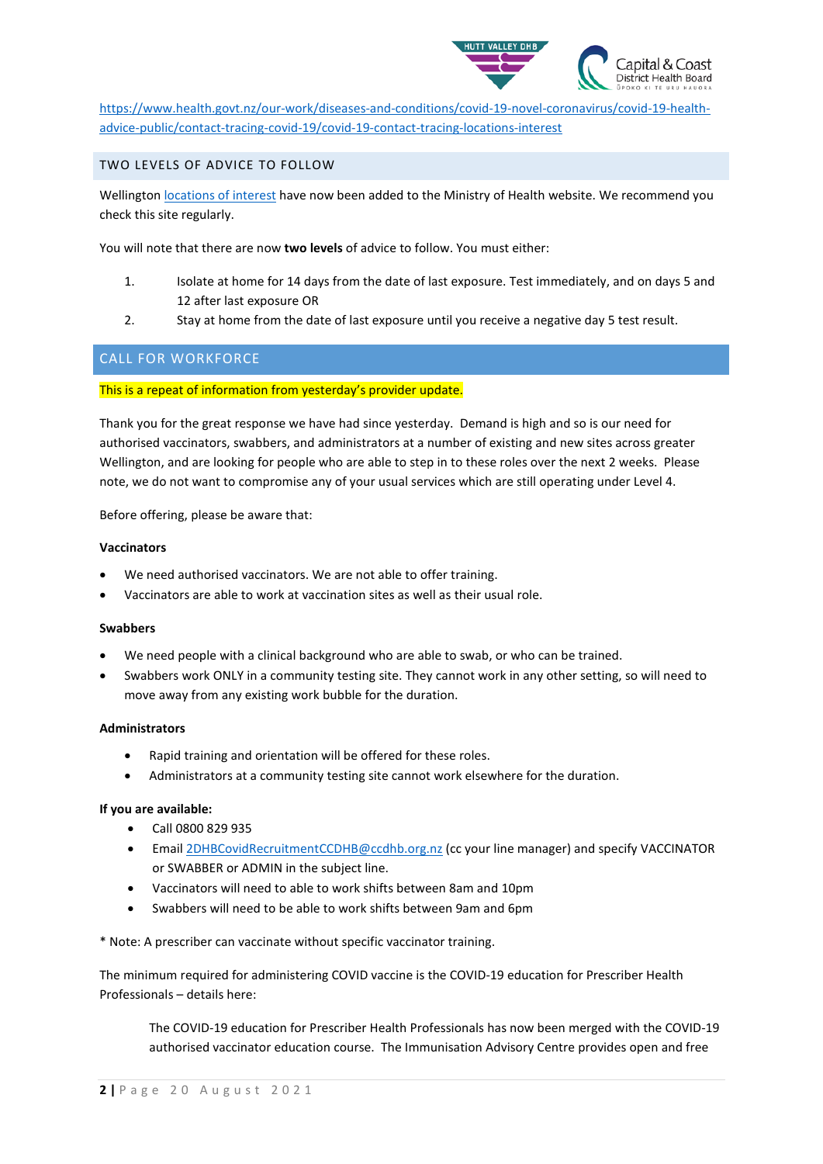

[https://www.health.govt.nz/our-work/diseases-and-conditions/covid-19-novel-coronavirus/covid-19-health](https://www.health.govt.nz/our-work/diseases-and-conditions/covid-19-novel-coronavirus/covid-19-health-advice-public/contact-tracing-covid-19/covid-19-contact-tracing-locations-interest)[advice-public/contact-tracing-covid-19/covid-19-contact-tracing-locations-interest](https://www.health.govt.nz/our-work/diseases-and-conditions/covid-19-novel-coronavirus/covid-19-health-advice-public/contact-tracing-covid-19/covid-19-contact-tracing-locations-interest)

TWO LEVELS OF ADVICE TO FOLLOW

Wellington [locations of interest](https://urldefense.com/v3/__https:/www.health.govt.nz/our-work/diseases-and-conditions/covid-19-novel-coronavirus/covid-19-health-advice-public/contact-tracing-covid-19/covid-19-contact-tracing-locations-interest__;!!A3teau8g8Q!AyCiz5ylDTigkDKgFYLtQguN5ellqpFKTXPmdkRQJM7gxXNh2iSnHYECetDOFS015PJ-$) have now been added to the Ministry of Health website. We recommend you check this site regularly.

You will note that there are now **two levels** of advice to follow. You must either:

- 1. Isolate at home for 14 days from the date of last exposure. Test immediately, and on days 5 and 12 after last exposure OR
- 2. Stay at home from the date of last exposure until you receive a negative day 5 test result.

# CALL FOR WORKFORCE

#### This is a repeat of information from yesterday's provider update.

Thank you for the great response we have had since yesterday. Demand is high and so is our need for authorised vaccinators, swabbers, and administrators at a number of existing and new sites across greater Wellington, and are looking for people who are able to step in to these roles over the next 2 weeks. Please note, we do not want to compromise any of your usual services which are still operating under Level 4.

Before offering, please be aware that:

#### **Vaccinators**

- We need authorised vaccinators. We are not able to offer training.
- Vaccinators are able to work at vaccination sites as well as their usual role.

#### **Swabbers**

- We need people with a clinical background who are able to swab, or who can be trained.
- Swabbers work ONLY in a community testing site. They cannot work in any other setting, so will need to move away from any existing work bubble for the duration.

#### **Administrators**

- Rapid training and orientation will be offered for these roles.
- Administrators at a community testing site cannot work elsewhere for the duration.

#### **If you are available:**

- Call 0800 829 935
- Email [2DHBCovidRecruitmentCCDHB@ccdhb.org.nz](mailto:2DHBCovidRecruitmentCCDHB@ccdhb.org.nz) (cc your line manager) and specify VACCINATOR or SWABBER or ADMIN in the subject line.
- Vaccinators will need to able to work shifts between 8am and 10pm
- Swabbers will need to be able to work shifts between 9am and 6pm

\* Note: A prescriber can vaccinate without specific vaccinator training.

The minimum required for administering COVID vaccine is the COVID-19 education for Prescriber Health Professionals – details here:

The COVID-19 education for Prescriber Health Professionals has now been merged with the COVID-19 authorised vaccinator education course. The Immunisation Advisory Centre provides open and free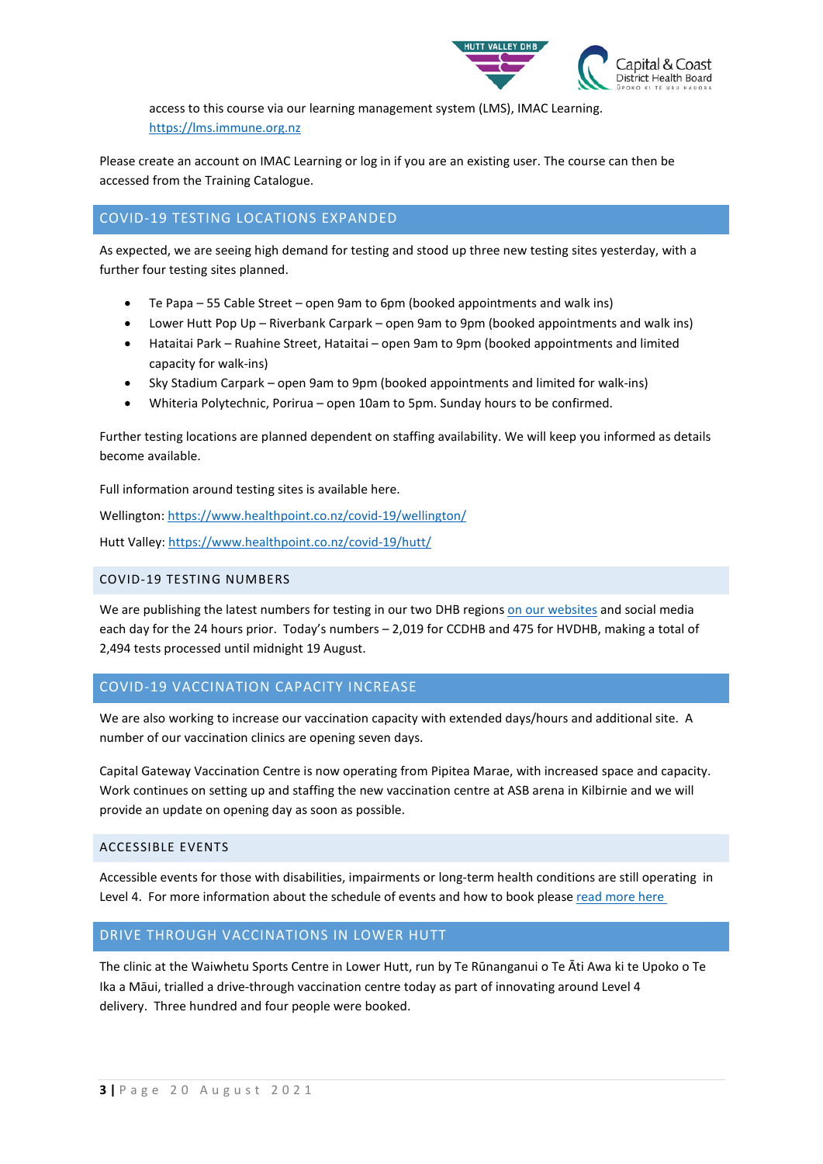

access to this course via our learning management system (LMS), IMAC Learning. [https://lms.immune.org.nz](https://urldefense.com/v3/__https:/aus01.safelinks.protection.outlook.com/?url=https*3A*2F*2Furldefense.com*2Fv3*2F__https*3A*2Flms.immune.org.nz__*3B!!A3teau8g8Q!C39b8QSUAqUJdRRpCMvoXd0v7w1FALDCOftOVNmUGl_RLtZbh95clhBEEQMM4f-WxGpB*24&data=04*7C01*7Clouise.poynton*40tuora.org.nz*7Cca9088ddac8048ccd97008d963972bbf*7C1d296a68adeb43608d91e8900a7fcdd8*7C0*7C0*7C637650323203213751*7CUnknown*7CTWFpbGZsb3d8eyJWIjoiMC4wLjAwMDAiLCJQIjoiV2luMzIiLCJBTiI6Ik1haWwiLCJXVCI6Mn0*3D*7C1000&sdata=TJL7x8MvOa1HpuzTaDQTSQmWJFJevRiBe7x75o8DCQk*3D&reserved=0__;JSUlJSUlJSUlJSUlJSUlJSUlJSUlJQ!!A3teau8g8Q!Am46xQt0OTDVBsLlOQpb8ASG3Vdp1pobOwWhd3CWHkiwky9Tgy1PubfeM95g1pSJQulS$)

Please create an account on IMAC Learning or log in if you are an existing user. The course can then be accessed from the Training Catalogue.

# COVID-19 TESTING LOCATIONS EXPANDED

As expected, we are seeing high demand for testing and stood up three new testing sites yesterday, with a further four testing sites planned.

- Te Papa 55 Cable Street open 9am to 6pm (booked appointments and walk ins)
- Lower Hutt Pop Up Riverbank Carpark open 9am to 9pm (booked appointments and walk ins)
- Hataitai Park Ruahine Street, Hataitai open 9am to 9pm (booked appointments and limited capacity for walk-ins)
- Sky Stadium Carpark open 9am to 9pm (booked appointments and limited for walk-ins)
- Whiteria Polytechnic, Porirua open 10am to 5pm. Sunday hours to be confirmed.

Further testing locations are planned dependent on staffing availability. We will keep you informed as details become available.

Full information around testing sites is available here.

Wellington[: https://www.healthpoint.co.nz/covid-19/wellington/](https://www.healthpoint.co.nz/covid-19/wellington/)

Hutt Valley:<https://www.healthpoint.co.nz/covid-19/hutt/>

#### COVID-19 TESTING NUMBERS

We are publishing the latest numbers for testing in our two DHB region[s on our websites](https://www.ccdhb.org.nz/our-services/covid-19-community-based-assessment-centres-cbacs/covid-19-testing-numbers/) and social media each day for the 24 hours prior. Today's numbers – 2,019 for CCDHB and 475 for HVDHB, making a total of 2,494 tests processed until midnight 19 August.

### COVID-19 VACCINATION CAPACITY INCREASE

We are also working to increase our vaccination capacity with extended days/hours and additional site. A number of our vaccination clinics are opening seven days.

Capital Gateway Vaccination Centre is now operating from Pipitea Marae, with increased space and capacity. Work continues on setting up and staffing the new vaccination centre at ASB arena in Kilbirnie and we will provide an update on opening day as soon as possible.

### ACCESSIBLE EVENTS

Accessible events for those with disabilities, impairments or long-term health conditions are still operating in Level 4. For more information about the schedule of events and how to book please read more here

### DRIVE THROUGH VACCINATIONS IN LOWER HUTT

The clinic at the Waiwhetu Sports Centre in Lower Hutt, run by Te Rūnanganui o Te Āti Awa ki te Upoko o Te Ika a Māui, trialled a drive-through vaccination centre today as part of innovating around Level 4 delivery. Three hundred and four people were booked.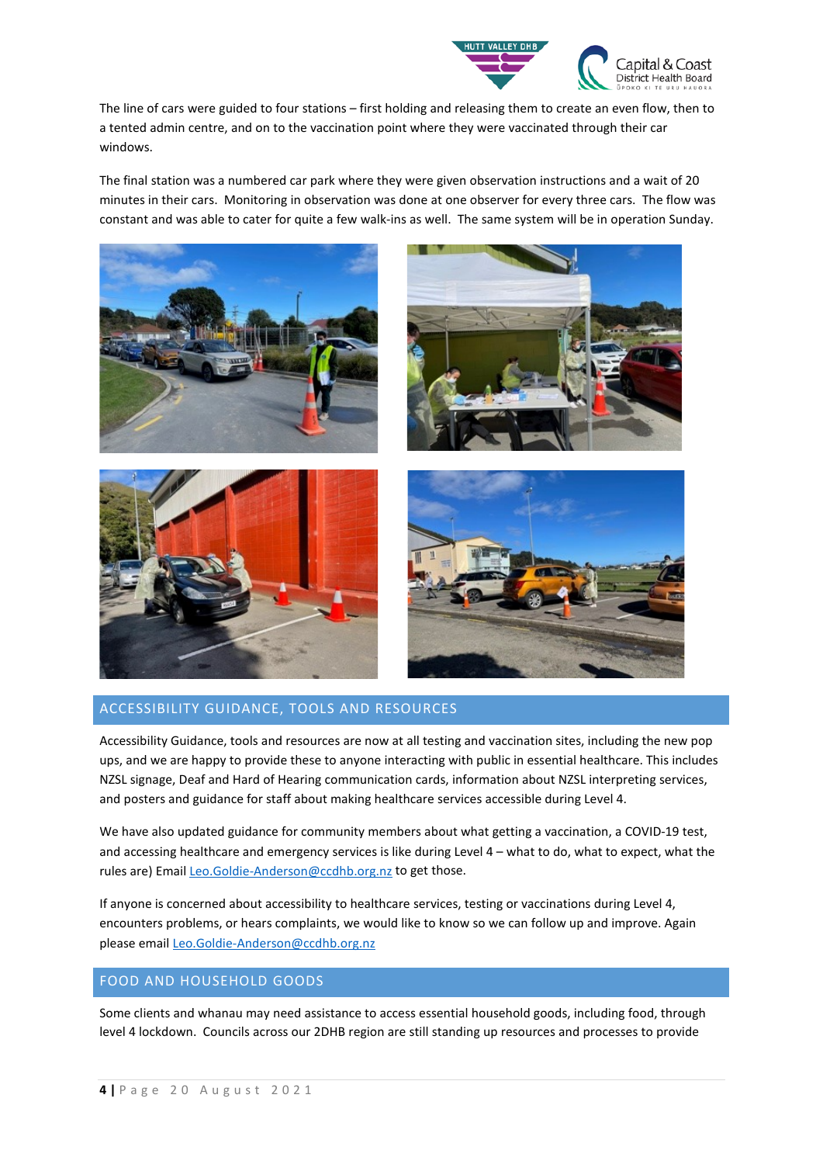

The line of cars were guided to four stations – first holding and releasing them to create an even flow, then to a tented admin centre, and on to the vaccination point where they were vaccinated through their car windows.

The final station was a numbered car park where they were given observation instructions and a wait of 20 minutes in their cars. Monitoring in observation was done at one observer for every three cars. The flow was constant and was able to cater for quite a few walk-ins as well. The same system will be in operation Sunday.



# ACCESSIBILITY GUIDANCE, TOOLS AND RESOURCES

Accessibility Guidance, tools and resources are now at all testing and vaccination sites, including the new pop ups, and we are happy to provide these to anyone interacting with public in essential healthcare. This includes NZSL signage, Deaf and Hard of Hearing communication cards, information about NZSL interpreting services, and posters and guidance for staff about making healthcare services accessible during Level 4.

We have also updated guidance for community members about what getting a vaccination, a COVID-19 test, and accessing healthcare and emergency services is like during Level 4 – what to do, what to expect, what the rules are) Email [Leo.Goldie-Anderson@ccdhb.org.nz](mailto:Leo.Goldie-Anderson@ccdhb.org.nz) to get those.

If anyone is concerned about accessibility to healthcare services, testing or vaccinations during Level 4, encounters problems, or hears complaints, we would like to know so we can follow up and improve. Again please email [Leo.Goldie-Anderson@ccdhb.org.nz](mailto:Leo.Goldie-Anderson@ccdhb.org.nz)

## FOOD AND HOUSEHOLD GOODS

Some clients and whanau may need assistance to access essential household goods, including food, through level 4 lockdown. Councils across our 2DHB region are still standing up resources and processes to provide